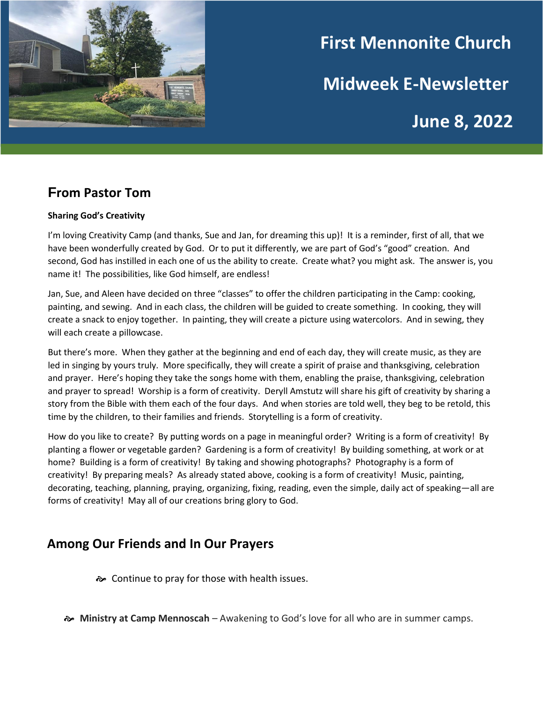

# **First Mennonite Church Midweek E-Newsletter**

**June 8, 2022**

# **From Pastor Tom**

#### **Sharing God's Creativity**

I'm loving Creativity Camp (and thanks, Sue and Jan, for dreaming this up)! It is a reminder, first of all, that we have been wonderfully created by God. Or to put it differently, we are part of God's "good" creation. And second, God has instilled in each one of us the ability to create. Create what? you might ask. The answer is, you name it! The possibilities, like God himself, are endless!

Jan, Sue, and Aleen have decided on three "classes" to offer the children participating in the Camp: cooking, painting, and sewing. And in each class, the children will be guided to create something. In cooking, they will create a snack to enjoy together. In painting, they will create a picture using watercolors. And in sewing, they will each create a pillowcase.

But there's more. When they gather at the beginning and end of each day, they will create music, as they are led in singing by yours truly. More specifically, they will create a spirit of praise and thanksgiving, celebration and prayer. Here's hoping they take the songs home with them, enabling the praise, thanksgiving, celebration and prayer to spread! Worship is a form of creativity. Deryll Amstutz will share his gift of creativity by sharing a story from the Bible with them each of the four days. And when stories are told well, they beg to be retold, this time by the children, to their families and friends. Storytelling is a form of creativity.

How do you like to create? By putting words on a page in meaningful order? Writing is a form of creativity! By planting a flower or vegetable garden? Gardening is a form of creativity! By building something, at work or at home? Building is a form of creativity! By taking and showing photographs? Photography is a form of creativity! By preparing meals? As already stated above, cooking is a form of creativity! Music, painting, decorating, teaching, planning, praying, organizing, fixing, reading, even the simple, daily act of speaking—all are forms of creativity! May all of our creations bring glory to God.

# **Among Our Friends and In Our Prayers**

Continue to pray for those with health issues.

**Ministry at Camp Mennoscah** – Awakening to God's love for all who are in summer camps.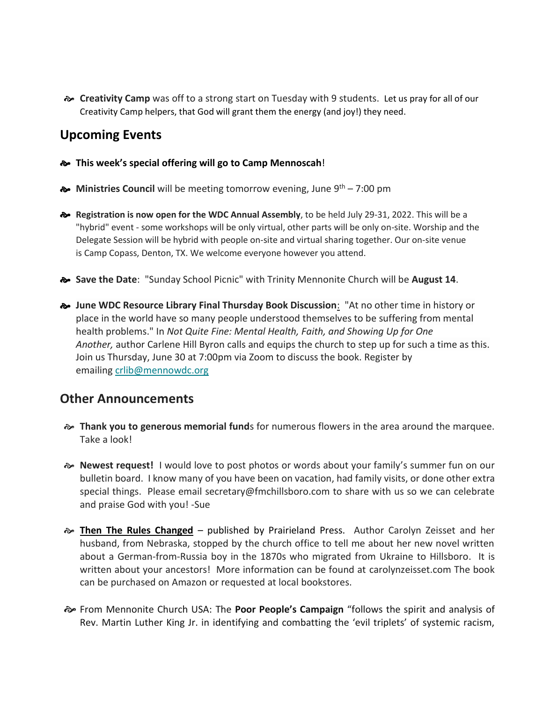**Creativity Camp** was off to a strong start on Tuesday with 9 students. Let us pray for all of our Creativity Camp helpers, that God will grant them the energy (and joy!) they need.

# **Upcoming Events**

- **This week's special offering will go to Camp Mennoscah**!
- $\bullet$  Ministries Council will be meeting tomorrow evening, June 9<sup>th</sup> 7:00 pm
- **Registration is now open for the WDC Annual Assembly**, to be held July 29-31, 2022. This will be a "hybrid" event - some workshops will be only virtual, other parts will be only on-site. Worship and the Delegate Session will be hybrid with people on-site and virtual sharing together. Our on-site venue is Camp Copass, Denton, TX. We welcome everyone however you attend.
- **Save the Date**: "Sunday School Picnic" with Trinity Mennonite Church will be **August 14**.
- **June WDC Resource Library Final Thursday Book Discussion**: "At no other time in history or place in the world have so many people understood themselves to be suffering from mental health problems." In *Not Quite Fine: Mental Health, Faith, and Showing Up for One Another,* author Carlene Hill Byron calls and equips the church to step up for such a time as this. Join us Thursday, June 30 at 7:00pm via Zoom to discuss the book. Register by emailing [crlib@mennowdc.org](mailto:crlib@mennowdc.org)

#### **Other Announcements**

- **Thank you to generous memorial fund**s for numerous flowers in the area around the marquee. Take a look!
- **Newest request!** I would love to post photos or words about your family's summer fun on our bulletin board. I know many of you have been on vacation, had family visits, or done other extra special things. Please email secretary@fmchillsboro.com to share with us so we can celebrate and praise God with you! -Sue
- **Then The Rules Changed** published by Prairieland Press. Author Carolyn Zeisset and her husband, from Nebraska, stopped by the church office to tell me about her new novel written about a German-from-Russia boy in the 1870s who migrated from Ukraine to Hillsboro. It is written about your ancestors! More information can be found at carolynzeisset.com The book can be purchased on Amazon or requested at local bookstores.
- From Mennonite Church USA: The **Poor People's Campaign** "follows the spirit and analysis of Rev. Martin Luther King Jr. in identifying and combatting the 'evil triplets' of systemic racism,